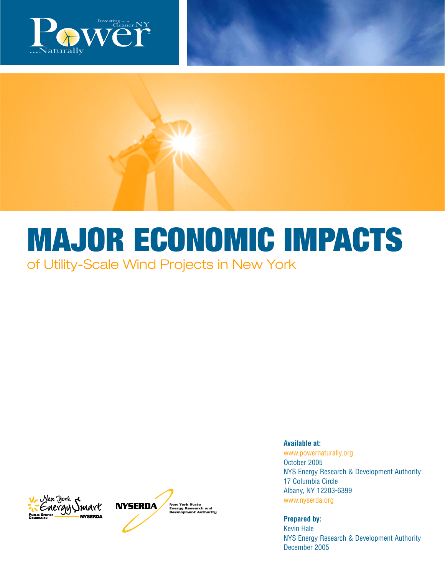

# **MAJOR ECONOMIC IMPACTS** of Utility-Scale Wind Projects in New York





**Available at:** 

www.powernaturally.org October 2005 NYS Energy Research & Development Authority 17 Columbia Circle Albany, NY 12203-6399 www.nyserda.org

**Prepared by:** 

Kevin Hale NYS Energy Research & Development Authority December 2005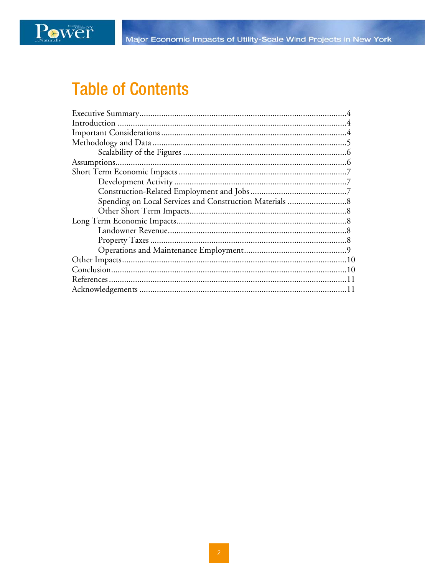

## **Table of Contents**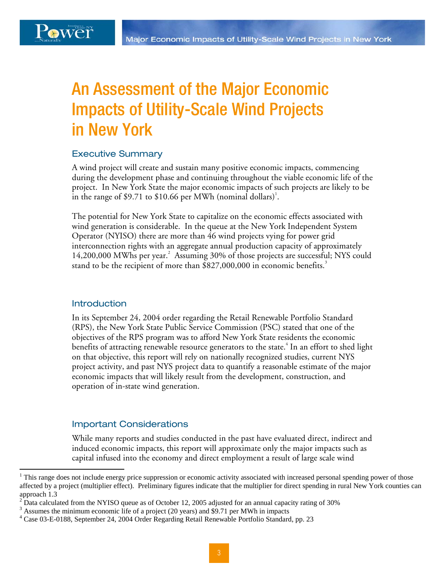### Power

### An Assessment of the Major Economic Impacts of Utility-Scale Wind Projects in New York

#### Executive Summary

A wind project will create and sustain many positive economic impacts, commencing during the development phase and continuing throughout the viable economic life of the project. In New York State the major economic impacts of such projects are likely to be in the range of \$9.71 to \$10.66 per MWh (nominal dollars)<sup>1</sup>.

stand to be the recipient of more than  $$827,000,000$  in economic benefits.<sup>3</sup> The potential for New York State to capitalize on the economic effects associated with wind generation is considerable. In the queue at the New York Independent System Operator (NYISO) there are more than 46 wind projects vying for power grid interconnection rights with an aggregate annual production capacity of approximately 14,200,000 MWhs per year.<sup>2</sup> Assuming 30% of those projects are successful; NYS could

#### **Introduction**

<u>.</u>

In its September 24, 2004 order regarding the Retail Renewable Portfolio Standard (RPS), the New York State Public Service Commission (PSC) stated that one of the objectives of the RPS program was to afford New York State residents the economic benefits of attracting renewable resource generators to the state. $^4$  In an effort to shed light on that objective, this report will rely on nationally recognized studies, current NYS project activity, and past NYS project data to quantify a reasonable estimate of the major economic impacts that will likely result from the development, construction, and operation of in-state wind generation.

#### Important Considerations

While many reports and studies conducted in the past have evaluated direct, indirect and induced economic impacts, this report will approximate only the major impacts such as capital infused into the economy and direct employment a result of large scale wind

<sup>&</sup>lt;sup>1</sup> This range does not include energy price suppression or economic activity associated with increased personal spending power of those affected by a project (multiplier effect). Preliminary figures indicate that the multiplier for direct spending in rural New York counties can approach 1.3

<sup>&</sup>lt;sup>2</sup> Data calculated from the NYISO queue as of October 12, 2005 adjusted for an annual capacity rating of 30%  $\frac{3}{2}$  Aggregated for an annual capacity rating of 30%

 $3$  Assumes the minimum economic life of a project (20 years) and \$9.71 per MWh in impacts

<sup>4</sup> Case 03-E-0188, September 24, 2004 Order Regarding Retail Renewable Portfolio Standard, pp. 23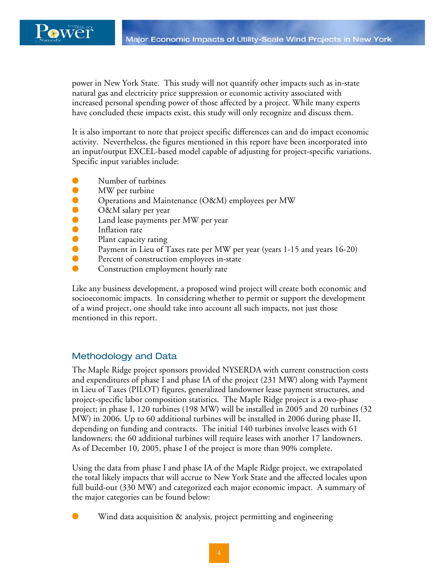

power in New York State. This study will not quantify other impacts such as in-state natural gas and electricity price suppression or economic activity associated with increased personal spending power of those affected by a project. While many experts have concluded these impacts exist, this study will only recognize and discuss them.

It is also important to note that project specific differences can and do impact economic activity. Nevertheless, the figures mentioned in this report have been incorporated into an input/output EXCEL-based model capable of adjusting for project-specific variations. Specific input variables include:

- Number of turbines
- **MW** per turbine
- Operations and Maintenance (O&M) employees per MW
- O&M salary per year
- Land lease payments per MW per year<br>● Inflation rate
- Inflation rate
- Plant capacity rating<br>● Pavment in Lieu of T
- Payment in Lieu of Taxes rate per MW per year (years 1-15 and years 16-20)
- Percent of construction employees in-state<br>● Construction employment hourly rate
- Construction employment hourly rate

Like any business development, a proposed wind project will create both economic and socioeconomic impacts. In considering whether to permit or support the development of a wind project, one should take into account all such impacts, not just those mentioned in this report.

#### Methodology and Data

The Maple Ridge project sponsors provided NYSERDA with current construction costs and expenditures of phase I and phase IA of the project (231 MW) along with Payment in Lieu of Taxes (PILOT) figures, generalized landowner lease payment structures, and project-specific labor composition statistics. The Maple Ridge project is a two-phase project; in phase I, 120 turbines (198 MW) will be installed in 2005 and 20 turbines (32 MW) in 2006. Up to 60 additional turbines will be installed in 2006 during phase II, depending on funding and contracts. The initial 140 turbines involve leases with 61 landowners; the 60 additional turbines will require leases with another 17 landowners. As of December 10, 2005, phase I of the project is more than 90% complete.

Using the data from phase I and phase IA of the Maple Ridge project, we extrapolated the total likely impacts that will accrue to New York State and the affected locales upon full build-out (330 MW) and categorized each major economic impact. A summary of the major categories can be found below:

Wind data acquisition  $\&$  analysis, project permitting and engineering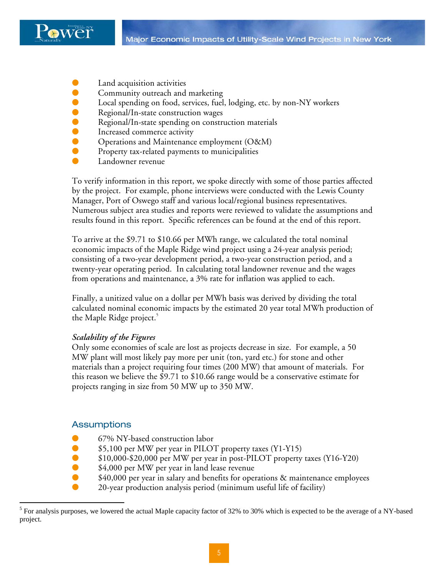

- Land acquisition activities
- **Community outreach and marketing**
- Local spending on food, services, fuel, lodging, etc. by non-NY workers
- Regional/In-state construction wages
- Regional/In-state spending on construction materials
- **O** Increased commerce activity
- Operations and Maintenance employment (O&M)
- Property tax-related payments to municipalities
- Landowner revenue

 To verify information in this report, we spoke directly with some of those parties affected Manager, Port of Oswego staff and various local/regional business representatives. by the project. For example, phone interviews were conducted with the Lewis County Numerous subject area studies and reports were reviewed to validate the assumptions and results found in this report. Specific references can be found at the end of this report.

To arrive at the \$9.71 to \$10.66 per MWh range, we calculated the total nominal economic impacts of the Maple Ridge wind project using a 24-year analysis period; consisting of a two-year development period, a two-year construction period, and a twenty-year operating period. In calculating total landowner revenue and the wages from operations and maintenance, a 3% rate for inflation was applied to each.

Finally, a unitized value on a dollar per MWh basis was derived by dividing the total calculated nominal economic impacts by the estimated 20 year total MWh production of the Maple Ridge project.

#### *Scalability of the Figures*

Only some economies of scale are lost as projects decrease in size. For example, a 50 MW plant will most likely pay more per unit (ton, yard etc.) for stone and other materials than a project requiring four times (200 MW) that amount of materials. For this reason we believe the \$9.71 to \$10.66 range would be a conservative estimate for projects ranging in size from 50 MW up to 350 MW.

#### **Assumptions**

 $\overline{a}$ 

- 67% NY-based construction labor
- \$5,100 per MW per year in PILOT property taxes (Y1-Y15)
- \$10,000-\$20,000 per MW per year in post-PILOT property taxes (Y16-Y20)
- \$4,000 per MW per year in land lease revenue
- $$40,000$  per year in salary and benefits for operations  $&$  maintenance employees
- 20-year production analysis period (minimum useful life of facility)

<sup>&</sup>lt;sup>5</sup> For analysis purposes, we lowered the actual Maple capacity factor of 32% to 30% which is expected to be the average of a NY-based project.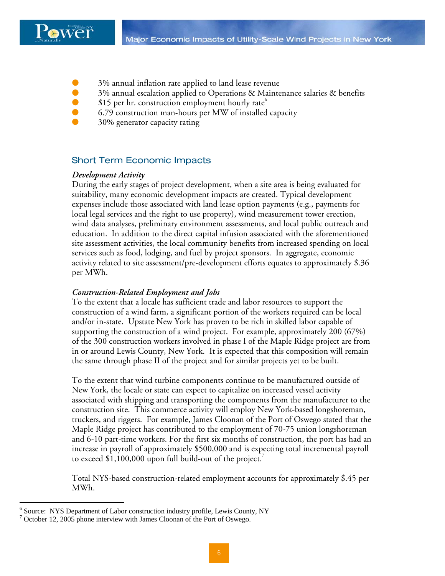

- 3% annual inflation rate applied to land lease revenue
- 3% annual escalation applied to Operations & Maintenance salaries & benefits
- $\bullet$  \$15 per hr. construction employment hourly rate<sup>6</sup>
- 6.79 construction man-hours per MW of installed capacity
- 30% generator capacity rating

#### Short Term Economic Impacts

#### *Development Activity*

During the early stages of project development, when a site area is being evaluated for suitability, many economic development impacts are created. Typical development expenses include those associated with land lease option payments (e.g., payments for local legal services and the right to use property), wind measurement tower erection, wind data analyses, preliminary environment assessments, and local public outreach and education. In addition to the direct capital infusion associated with the aforementioned site assessment activities, the local community benefits from increased spending on local services such as food, lodging, and fuel by project sponsors. In aggregate, economic activity related to site assessment/pre-development efforts equates to approximately \$.36 per MWh.

#### *Construction-Related Employment and Jobs*

To the extent that a locale has sufficient trade and labor resources to support the construction of a wind farm, a significant portion of the workers required can be local and/or in-state. Upstate New York has proven to be rich in skilled labor capable of supporting the construction of a wind project. For example, approximately 200 (67%) of the 300 construction workers involved in phase I of the Maple Ridge project are from in or around Lewis County, New York. It is expected that this composition will remain the same through phase II of the project and for similar projects yet to be built.

To the extent that wind turbine components continue to be manufactured outside of New York, the locale or state can expect to capitalize on increased vessel activity associated with shipping and transporting the components from the manufacturer to the construction site. This commerce activity will employ New York-based longshoreman, truckers, and riggers. For example, James Cloonan of the Port of Oswego stated that the Maple Ridge project has contributed to the employment of 70-75 union longshoreman and 6-10 part-time workers. For the first six months of construction, the port has had an increase in payroll of approximately \$500,000 and is expecting total incremental payroll to exceed \$1,100,000 upon full build-out of the project.

Total NYS-based construction-related employment accounts for approximately \$.45 per MWh.

1

<sup>&</sup>lt;sup>6</sup> Source: NYS Department of Labor construction industry profile, Lewis County, NY

<sup>&</sup>lt;sup>7</sup> October 12, 2005 phone interview with James Cloonan of the Port of Oswego.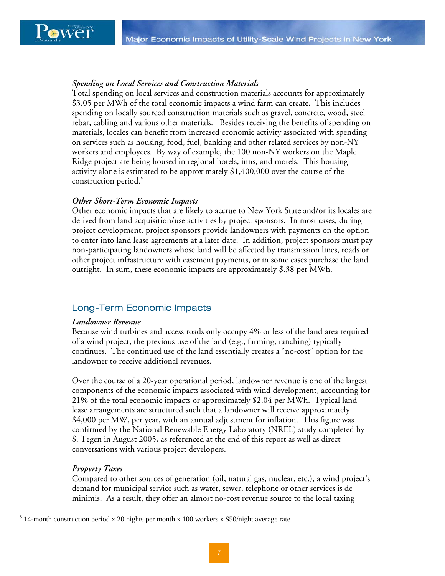#### *Spending on Local Services and Construction Materials*

construction period.<sup>8</sup> Total spending on local services and construction materials accounts for approximately \$3.05 per MWh of the total economic impacts a wind farm can create. This includes spending on locally sourced construction materials such as gravel, concrete, wood, steel rebar, cabling and various other materials. Besides receiving the benefits of spending on materials, locales can benefit from increased economic activity associated with spending on services such as housing, food, fuel, banking and other related services by non-NY workers and employees. By way of example, the 100 non-NY workers on the Maple Ridge project are being housed in regional hotels, inns, and motels. This housing activity alone is estimated to be approximately \$1,400,000 over the course of the

#### *Other Short-Term Economic Impacts*

Other economic impacts that are likely to accrue to New York State and/or its locales are derived from land acquisition/use activities by project sponsors. In most cases, during project development, project sponsors provide landowners with payments on the option to enter into land lease agreements at a later date. In addition, project sponsors must pay non-participating landowners whose land will be affected by transmission lines, roads or other project infrastructure with easement payments, or in some cases purchase the land outright. In sum, these economic impacts are approximately \$.38 per MWh.

#### Long-Term Economic Impacts

#### *Landowner Revenue*

Because wind turbines and access roads only occupy 4% or less of the land area required of a wind project, the previous use of the land (e.g., farming, ranching) typically continues. The continued use of the land essentially creates a "no-cost" option for the landowner to receive additional revenues.

Over the course of a 20-year operational period, landowner revenue is one of the largest components of the economic impacts associated with wind development, accounting for 21% of the total economic impacts or approximately \$2.04 per MWh. Typical land lease arrangements are structured such that a landowner will receive approximately \$4,000 per MW, per year, with an annual adjustment for inflation. This figure was confirmed by the National Renewable Energy Laboratory (NREL) study completed by S. Tegen in August 2005, as referenced at the end of this report as well as direct conversations with various project developers.

#### *Property Taxes*

1

Compared to other sources of generation (oil, natural gas, nuclear, etc.), a wind project's demand for municipal service such as water, sewer, telephone or other services is de minimis. As a result, they offer an almost no-cost revenue source to the local taxing

 $8\,$  14-month construction period x 20 nights per month x 100 workers x \$50/night average rate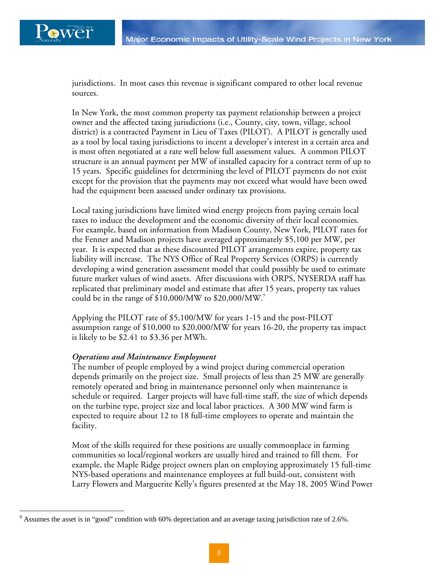$\overline{a}$ 

jurisdictions. In most cases this revenue is significant compared to other local revenue sources.

In New York, the most common property tax payment relationship between a project owner and the affected taxing jurisdictions (i.e., County, city, town, village, school district) is a contracted Payment in Lieu of Taxes (PILOT). A PILOT is generally used as a tool by local taxing jurisdictions to incent a developer's interest in a certain area and is most often negotiated at a rate well below full assessment values. A common PILOT structure is an annual payment per MW of installed capacity for a contract term of up to 15 years. Specific guidelines for determining the level of PILOT payments do not exist except for the provision that the payments may not exceed what would have been owed had the equipment been assessed under ordinary tax provisions.

Local taxing jurisdictions have limited wind energy projects from paying certain local taxes to induce the development and the economic diversity of their local economies. For example, based on information from Madison County, New York, PILOT rates for the Fenner and Madison projects have averaged approximately \$5,100 per MW, per year. It is expected that as these discounted PILOT arrangements expire, property tax liability will increase. The NYS Office of Real Property Services (ORPS) is currently developing a wind generation assessment model that could possibly be used to estimate future market values of wind assets. After discussions with ORPS, NYSERDA staff has replicated that preliminary model and estimate that after 15 years, property tax values could be in the range of  $$10,000/MW$  to  $$20,000/MW$ .

Applying the PILOT rate of \$5,100/MW for years 1-15 and the post-PILOT assumption range of \$10,000 to \$20,000/MW for years 16-20, the property tax impact is likely to be \$2.41 to \$3.36 per MWh.

#### *Operations and Maintenance Employment*

The number of people employed by a wind project during commercial operation depends primarily on the project size. Small projects of less than 25 MW are generally remotely operated and bring in maintenance personnel only when maintenance is schedule or required. Larger projects will have full-time staff, the size of which depends on the turbine type, project size and local labor practices. A 300 MW wind farm is expected to require about 12 to 18 full-time employees to operate and maintain the facility.

Most of the skills required for these positions are usually commonplace in farming communities so local/regional workers are usually hired and trained to fill them. For example, the Maple Ridge project owners plan on employing approximately 15 full-time NYS-based operations and maintenance employees at full build-out, consistent with Larry Flowers and Marguerite Kelly's figures presented at the May 18, 2005 Wind Power

 $9$  Assumes the asset is in "good" condition with 60% depreciation and an average taxing jurisdiction rate of 2.6%.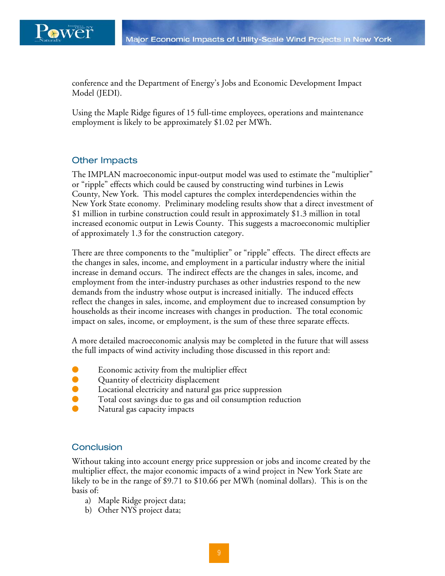

conference and the Department of Energy's Jobs and Economic Development Impact Model (JEDI).

Using the Maple Ridge figures of 15 full-time employees, operations and maintenance employment is likely to be approximately \$1.02 per MWh.

#### Other Impacts

 New York State economy. Preliminary modeling results show that a direct investment of The IMPLAN macroeconomic input-output model was used to estimate the "multiplier" or "ripple" effects which could be caused by constructing wind turbines in Lewis County, New York. This model captures the complex interdependencies within the \$1 million in turbine construction could result in approximately \$1.3 million in total increased economic output in Lewis County. This suggests a macroeconomic multiplier of approximately 1.3 for the construction category.

There are three components to the "multiplier" or "ripple" effects. The direct effects are the changes in sales, income, and employment in a particular industry where the initial increase in demand occurs. The indirect effects are the changes in sales, income, and employment from the inter-industry purchases as other industries respond to the new demands from the industry whose output is increased initially. The induced effects reflect the changes in sales, income, and employment due to increased consumption by households as their income increases with changes in production. The total economic impact on sales, income, or employment, is the sum of these three separate effects.

A more detailed macroeconomic analysis may be completed in the future that will assess the full impacts of wind activity including those discussed in this report and:

- Economic activity from the multiplier effect
- Quantity of electricity displacement
- Locational electricity and natural gas price suppression
- Total cost savings due to gas and oil consumption reduction
- Natural gas capacity impacts

#### **Conclusion**

Without taking into account energy price suppression or jobs and income created by the multiplier effect, the major economic impacts of a wind project in New York State are likely to be in the range of \$9.71 to \$10.66 per MWh (nominal dollars). This is on the basis of:

- a) Maple Ridge project data;
- b) Other NYS project data;